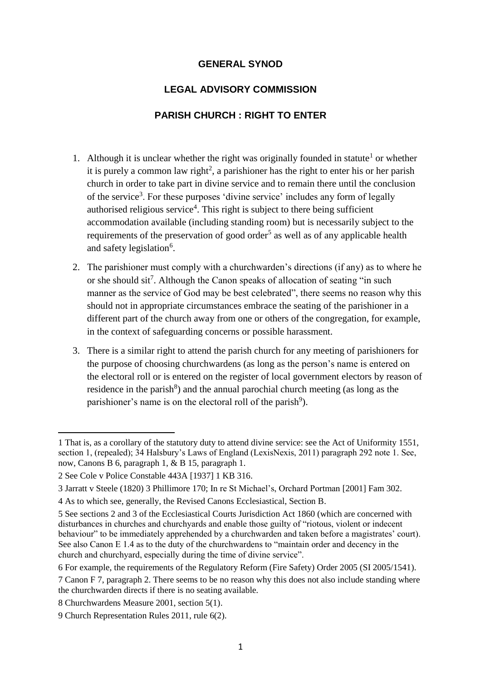## **GENERAL SYNOD**

## **LEGAL ADVISORY COMMISSION**

## **PARISH CHURCH : RIGHT TO ENTER**

- 1. Although it is unclear whether the right was originally founded in statute<sup>1</sup> or whether it is purely a common law right<sup>2</sup>, a parishioner has the right to enter his or her parish church in order to take part in divine service and to remain there until the conclusion of the service<sup>3</sup>. For these purposes 'divine service' includes any form of legally authorised religious service<sup>4</sup>. This right is subject to there being sufficient accommodation available (including standing room) but is necessarily subject to the requirements of the preservation of good order<sup>5</sup> as well as of any applicable health and safety legislation<sup>6</sup>.
- 2. The parishioner must comply with a churchwarden's directions (if any) as to where he or she should sit<sup>7</sup>. Although the Canon speaks of allocation of seating "in such manner as the service of God may be best celebrated", there seems no reason why this should not in appropriate circumstances embrace the seating of the parishioner in a different part of the church away from one or others of the congregation, for example, in the context of safeguarding concerns or possible harassment.
- 3. There is a similar right to attend the parish church for any meeting of parishioners for the purpose of choosing churchwardens (as long as the person's name is entered on the electoral roll or is entered on the register of local government electors by reason of residence in the parish<sup>8</sup>) and the annual parochial church meeting (as long as the parishioner's name is on the electoral roll of the parish<sup>9</sup>).

l

<sup>1</sup> That is, as a corollary of the statutory duty to attend divine service: see the Act of Uniformity 1551, section 1, (repealed); 34 Halsbury's Laws of England (LexisNexis, 2011) paragraph 292 note 1. See, now, Canons B 6, paragraph 1, & B 15, paragraph 1.

<sup>2</sup> See Cole v Police Constable 443A [1937] 1 KB 316.

<sup>3</sup> Jarratt v Steele (1820) 3 Phillimore 170; In re St Michael's, Orchard Portman [2001] Fam 302.

<sup>4</sup> As to which see, generally, the Revised Canons Ecclesiastical, Section B.

<sup>5</sup> See sections 2 and 3 of the Ecclesiastical Courts Jurisdiction Act 1860 (which are concerned with disturbances in churches and churchyards and enable those guilty of "riotous, violent or indecent behaviour" to be immediately apprehended by a churchwarden and taken before a magistrates' court). See also Canon E 1.4 as to the duty of the churchwardens to "maintain order and decency in the church and churchyard, especially during the time of divine service".

<sup>6</sup> For example, the requirements of the Regulatory Reform (Fire Safety) Order 2005 (SI 2005/1541).

<sup>7</sup> Canon F 7, paragraph 2. There seems to be no reason why this does not also include standing where the churchwarden directs if there is no seating available.

<sup>8</sup> Churchwardens Measure 2001, section 5(1).

<sup>9</sup> Church Representation Rules 2011, rule 6(2).